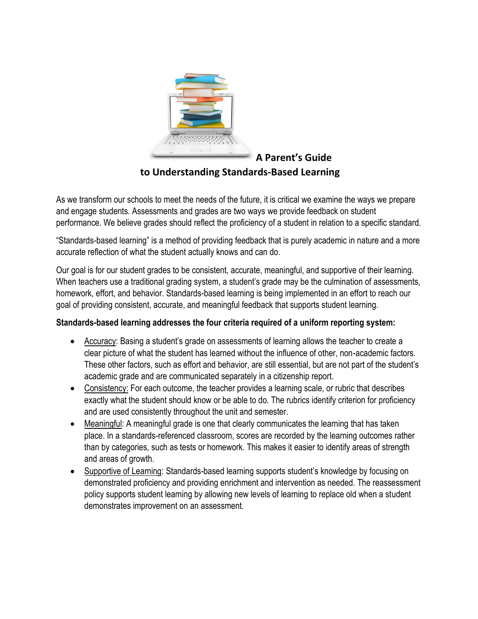

**A Parent's Guide to Understanding Standards-Based Learning**

As we transform our schools to meet the needs of the future, it is critical we examine the ways we prepare and engage students. Assessments and grades are two ways we provide feedback on student performance. We believe grades should reflect the proficiency of a student in relation to a specific standard.

"Standards-based learning" is a method of providing feedback that is purely academic in nature and a more accurate reflection of what the student actually knows and can do.

Our goal is for our student grades to be consistent, accurate, meaningful, and supportive of their learning. When teachers use a traditional grading system, a student's grade may be the culmination of assessments, homework, effort, and behavior. Standards-based learning is being implemented in an effort to reach our goal of providing consistent, accurate, and meaningful feedback that supports student learning.

#### **Standards-based learning addresses the four criteria required of a uniform reporting system:**

- Accuracy: Basing a student's grade on assessments of learning allows the teacher to create a clear picture of what the student has learned without the influence of other, non-academic factors. These other factors, such as effort and behavior, are still essential, but are not part of the student's academic grade and are communicated separately in a citizenship report.
- Consistency: For each outcome, the teacher provides a learning scale, or rubric that describes exactly what the student should know or be able to do. The rubrics identify criterion for proficiency and are used consistently throughout the unit and semester.
- Meaningful: A meaningful grade is one that clearly communicates the learning that has taken place. In a standards-referenced classroom, scores are recorded by the learning outcomes rather than by categories, such as tests or homework. This makes it easier to identify areas of strength and areas of growth.
- Supportive of Learning: Standards-based learning supports student's knowledge by focusing on demonstrated proficiency and providing enrichment and intervention as needed. The reassessment policy supports student learning by allowing new levels of learning to replace old when a student demonstrates improvement on an assessment.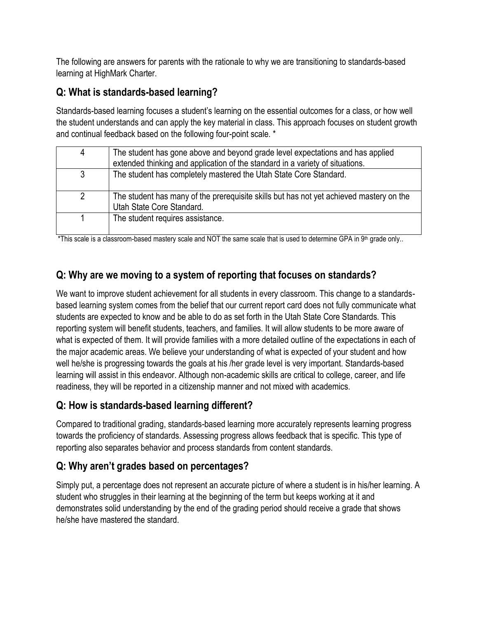The following are answers for parents with the rationale to why we are transitioning to standards-based learning at HighMark Charter.

# **Q: What is standards-based learning?**

Standards-based learning focuses a student's learning on the essential outcomes for a class, or how well the student understands and can apply the key material in class. This approach focuses on student growth and continual feedback based on the following four-point scale. \*

| 4              | The student has gone above and beyond grade level expectations and has applied          |
|----------------|-----------------------------------------------------------------------------------------|
|                |                                                                                         |
|                | extended thinking and application of the standard in a variety of situations.           |
|                |                                                                                         |
| 3              | The student has completely mastered the Utah State Core Standard.                       |
|                |                                                                                         |
|                |                                                                                         |
|                |                                                                                         |
| $\overline{2}$ | The student has many of the prerequisite skills but has not yet achieved mastery on the |
|                |                                                                                         |
|                | Utah State Core Standard.                                                               |
|                |                                                                                         |
|                | The student requires assistance.                                                        |
|                |                                                                                         |
|                |                                                                                         |
|                |                                                                                         |

\*This scale is a classroom-based mastery scale and NOT the same scale that is used to determine GPA in 9<sup>th</sup> grade only..

# **Q: Why are we moving to a system of reporting that focuses on standards?**

We want to improve student achievement for all students in every classroom. This change to a standardsbased learning system comes from the belief that our current report card does not fully communicate what students are expected to know and be able to do as set forth in the Utah State Core Standards. This reporting system will benefit students, teachers, and families. It will allow students to be more aware of what is expected of them. It will provide families with a more detailed outline of the expectations in each of the major academic areas. We believe your understanding of what is expected of your student and how well he/she is progressing towards the goals at his /her grade level is very important. Standards-based learning will assist in this endeavor. Although non-academic skills are critical to college, career, and life readiness, they will be reported in a citizenship manner and not mixed with academics.

## **Q: How is standards-based learning different?**

Compared to traditional grading, standards-based learning more accurately represents learning progress towards the proficiency of standards. Assessing progress allows feedback that is specific. This type of reporting also separates behavior and process standards from content standards.

## **Q: Why aren't grades based on percentages?**

Simply put, a percentage does not represent an accurate picture of where a student is in his/her learning. A student who struggles in their learning at the beginning of the term but keeps working at it and demonstrates solid understanding by the end of the grading period should receive a grade that shows he/she have mastered the standard.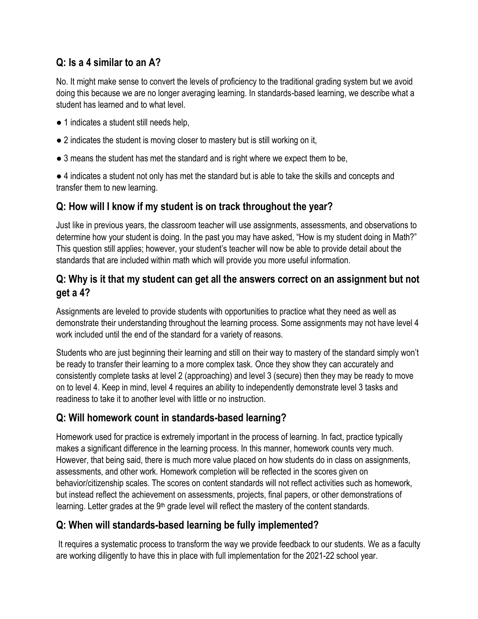## **Q: Is a 4 similar to an A?**

No. It might make sense to convert the levels of proficiency to the traditional grading system but we avoid doing this because we are no longer averaging learning. In standards-based learning, we describe what a student has learned and to what level.

- 1 indicates a student still needs help,
- 2 indicates the student is moving closer to mastery but is still working on it,
- 3 means the student has met the standard and is right where we expect them to be,

● 4 indicates a student not only has met the standard but is able to take the skills and concepts and transfer them to new learning.

### **Q: How will I know if my student is on track throughout the year?**

Just like in previous years, the classroom teacher will use assignments, assessments, and observations to determine how your student is doing. In the past you may have asked, "How is my student doing in Math?" This question still applies; however, your student's teacher will now be able to provide detail about the standards that are included within math which will provide you more useful information.

### **Q: Why is it that my student can get all the answers correct on an assignment but not get a 4?**

Assignments are leveled to provide students with opportunities to practice what they need as well as demonstrate their understanding throughout the learning process. Some assignments may not have level 4 work included until the end of the standard for a variety of reasons.

Students who are just beginning their learning and still on their way to mastery of the standard simply won't be ready to transfer their learning to a more complex task. Once they show they can accurately and consistently complete tasks at level 2 (approaching) and level 3 (secure) then they may be ready to move on to level 4. Keep in mind, level 4 requires an ability to independently demonstrate level 3 tasks and readiness to take it to another level with little or no instruction.

## **Q: Will homework count in standards-based learning?**

Homework used for practice is extremely important in the process of learning. In fact, practice typically makes a significant difference in the learning process. In this manner, homework counts very much. However, that being said, there is much more value placed on how students do in class on assignments, assessments, and other work. Homework completion will be reflected in the scores given on behavior/citizenship scales. The scores on content standards will not reflect activities such as homework, but instead reflect the achievement on assessments, projects, final papers, or other demonstrations of learning. Letter grades at the 9<sup>th</sup> grade level will reflect the mastery of the content standards.

# **Q: When will standards-based learning be fully implemented?**

It requires a systematic process to transform the way we provide feedback to our students. We as a faculty are working diligently to have this in place with full implementation for the 2021-22 school year.